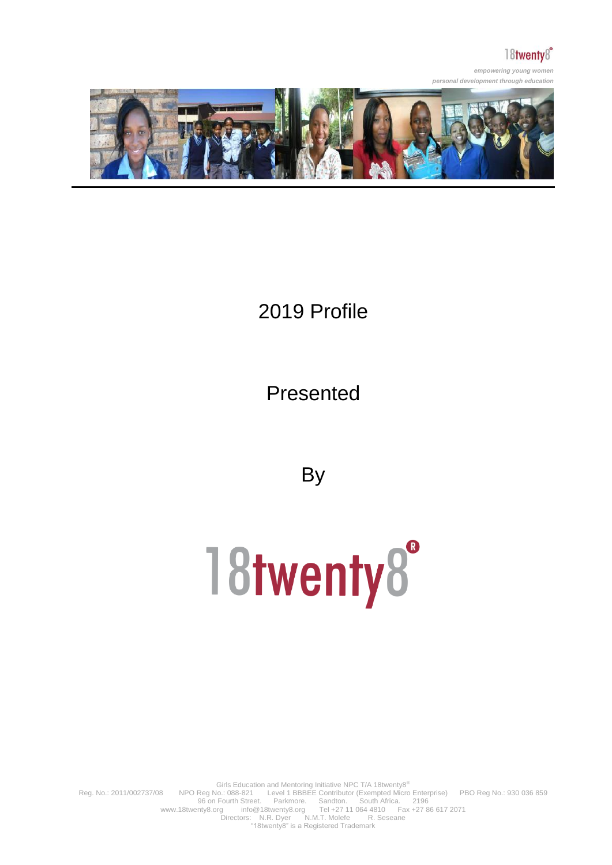

*empowering young women personal development through education*



## 2019 Profile

Presented

**By** 

# 18twenty8°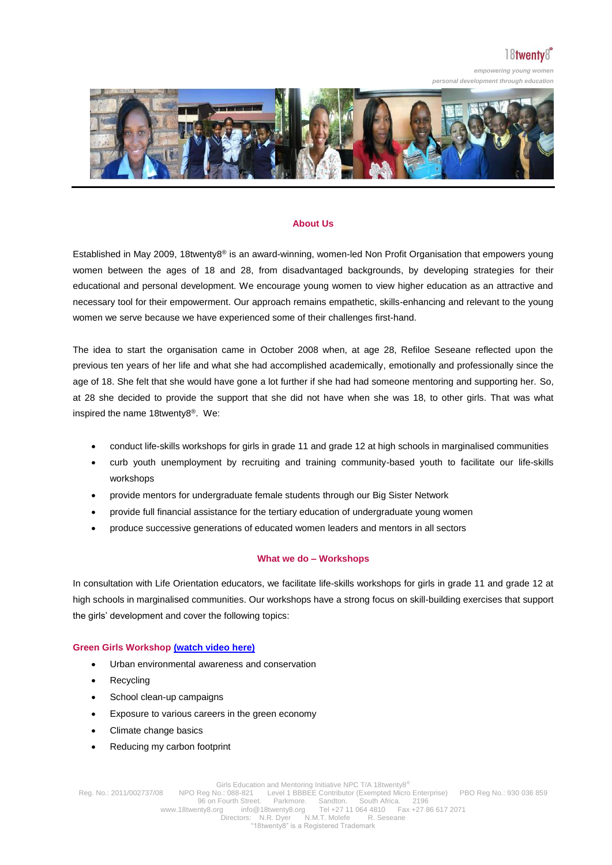*empowering young women* 



#### **About Us**

Established in May 2009, 18twenty8® is an award-winning, women-led Non Profit Organisation that empowers young women between the ages of 18 and 28, from disadvantaged backgrounds, by developing strategies for their educational and personal development. We encourage young women to view higher education as an attractive and necessary tool for their empowerment. Our approach remains empathetic, skills-enhancing and relevant to the young women we serve because we have experienced some of their challenges first-hand.

The idea to start the organisation came in October 2008 when, at age 28, Refiloe Seseane reflected upon the previous ten years of her life and what she had accomplished academically, emotionally and professionally since the age of 18. She felt that she would have gone a lot further if she had had someone mentoring and supporting her. So, at 28 she decided to provide the support that she did not have when she was 18, to other girls. That was what inspired the name 18twenty8®. We:

- conduct life-skills workshops for girls in grade 11 and grade 12 at high schools in marginalised communities
- curb youth unemployment by recruiting and training community-based youth to facilitate our life-skills workshops
- provide mentors for undergraduate female students through our Big Sister Network
- provide full financial assistance for the tertiary education of undergraduate young women
- produce successive generations of educated women leaders and mentors in all sectors

#### **What we do – Workshops**

In consultation with Life Orientation educators, we facilitate life-skills workshops for girls in grade 11 and grade 12 at high schools in marginalised communities. Our workshops have a strong focus on skill-building exercises that support the girls' development and cover the following topics:

#### **Green Girls Workshop [\(watch video here\)](http://www.youtube.com/watch?v=b1LpNMMPC7k)**

- Urban environmental awareness and conservation
- **Recycling**
- School clean-up campaigns
- Exposure to various careers in the green economy
- Climate change basics
- Reducing my carbon footprint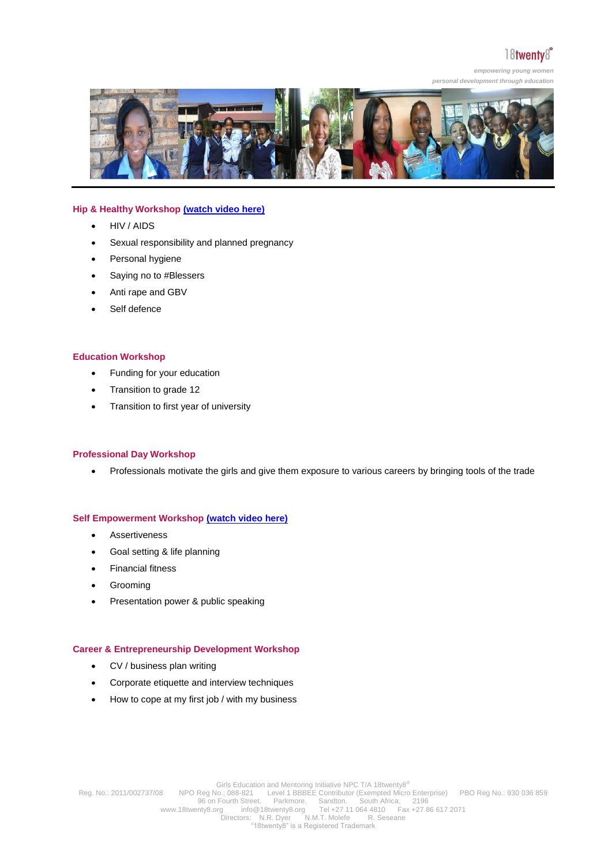*empowering young women* 



#### **Hip & Healthy Workshop [\(watch video here\)](http://www.youtube.com/watch?v=Mu-sHKZomqc)**

- HIV / AIDS
- Sexual responsibility and planned pregnancy
- Personal hygiene
- Saying no to #Blessers
- Anti rape and GBV
- Self defence

#### **Education Workshop**

- Funding for your education
- Transition to grade 12
- Transition to first year of university

#### **Professional Day Workshop**

• Professionals motivate the girls and give them exposure to various careers by bringing tools of the trade

#### **Self Empowerment Workshop [\(watch video here\)](https://www.youtube.com/watch?v=8meDYvtGkaY)**

- Assertiveness
- Goal setting & life planning
- Financial fitness
- Grooming
- Presentation power & public speaking

#### **Career & Entrepreneurship Development Workshop**

- CV / business plan writing
- Corporate etiquette and interview techniques
- How to cope at my first job / with my business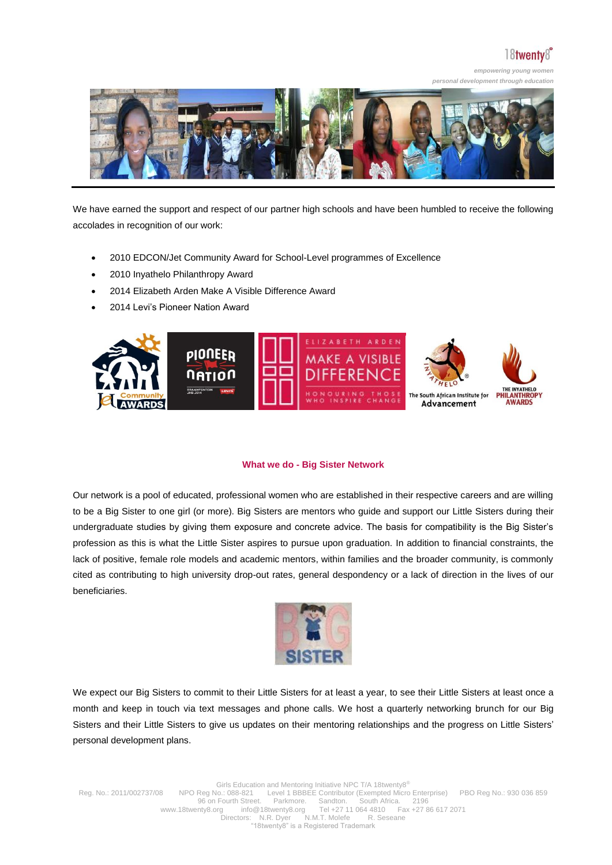*empowering young women* 



We have earned the support and respect of our partner high schools and have been humbled to receive the following accolades in recognition of our work:

- 2010 EDCON/Jet Community Award for School-Level programmes of Excellence
- 2010 Inyathelo Philanthropy Award
- 2014 Elizabeth Arden Make A Visible Difference Award
- 2014 Levi's Pioneer Nation Award



#### **What we do - Big Sister Network**

Our network is a pool of educated, professional women who are established in their respective careers and are willing to be a Big Sister to one girl (or more). Big Sisters are mentors who guide and support our Little Sisters during their undergraduate studies by giving them exposure and concrete advice. The basis for compatibility is the Big Sister's profession as this is what the Little Sister aspires to pursue upon graduation. In addition to financial constraints, the lack of positive, female role models and academic mentors, within families and the broader community, is commonly cited as contributing to high university drop-out rates, general despondency or a lack of direction in the lives of our beneficiaries.



We expect our Big Sisters to commit to their Little Sisters for at least a year, to see their Little Sisters at least once a month and keep in touch via text messages and phone calls. We host a quarterly networking brunch for our Big Sisters and their Little Sisters to give us updates on their mentoring relationships and the progress on Little Sisters' personal development plans.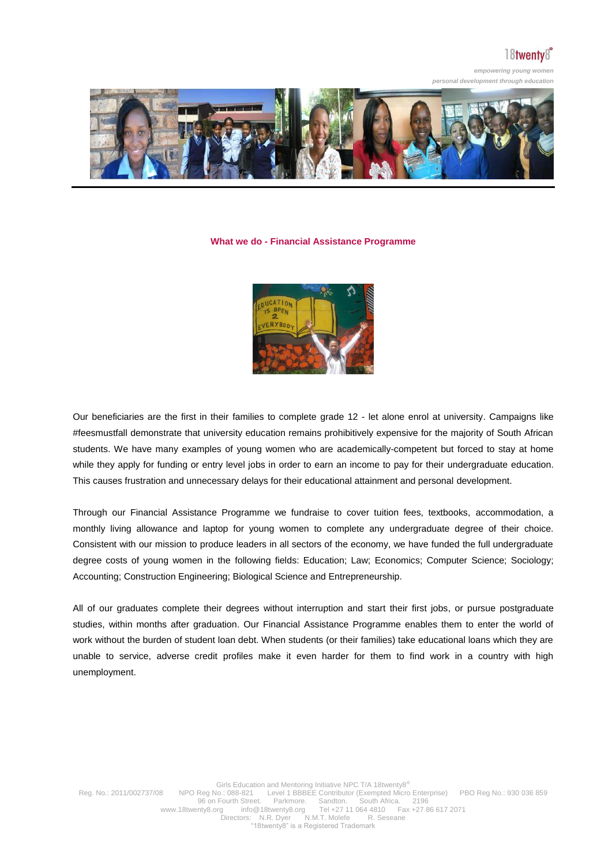### $18$ twenty $8^\circ$

*empowering young women personal development through education*



#### **What we do - Financial Assistance Programme**



Our beneficiaries are the first in their families to complete grade 12 - let alone enrol at university. Campaigns like #feesmustfall demonstrate that university education remains prohibitively expensive for the majority of South African students. We have many examples of young women who are academically-competent but forced to stay at home while they apply for funding or entry level jobs in order to earn an income to pay for their undergraduate education. This causes frustration and unnecessary delays for their educational attainment and personal development.

Through our Financial Assistance Programme we fundraise to cover tuition fees, textbooks, accommodation, a monthly living allowance and laptop for young women to complete any undergraduate degree of their choice. Consistent with our mission to produce leaders in all sectors of the economy, we have funded the full undergraduate degree costs of young women in the following fields: Education; Law; Economics; Computer Science; Sociology; Accounting; Construction Engineering; Biological Science and Entrepreneurship.

All of our graduates complete their degrees without interruption and start their first jobs, or pursue postgraduate studies, within months after graduation. Our Financial Assistance Programme enables them to enter the world of work without the burden of student loan debt. When students (or their families) take educational loans which they are unable to service, adverse credit profiles make it even harder for them to find work in a country with high unemployment.